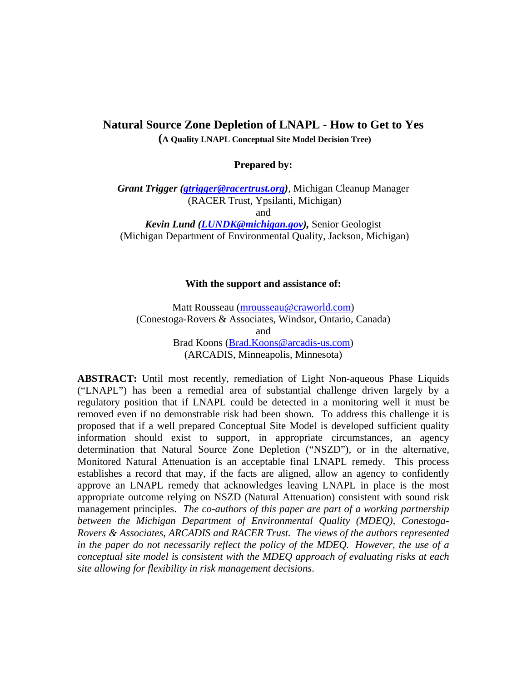## **Natural Source Zone Depletion of LNAPL - How to Get to Yes**

 **(A Quality LNAPL Conceptual Site Model Decision Tree)** 

**Prepared by:** 

*Grant Trigger (gtrigger@racertrust.org)*, Michigan Cleanup Manager (RACER Trust, Ypsilanti, Michigan) and

*Kevin Lund (LUNDK@michigan.gov),* Senior Geologist (Michigan Department of Environmental Quality, Jackson, Michigan)

## **With the support and assistance of:**

Matt Rousseau (mrousseau@craworld.com) (Conestoga-Rovers & Associates, Windsor, Ontario, Canada) and Brad Koons (Brad.Koons@arcadis-us.com) (ARCADIS, Minneapolis, Minnesota)

**ABSTRACT:** Until most recently, remediation of Light Non-aqueous Phase Liquids ("LNAPL") has been a remedial area of substantial challenge driven largely by a regulatory position that if LNAPL could be detected in a monitoring well it must be removed even if no demonstrable risk had been shown. To address this challenge it is proposed that if a well prepared Conceptual Site Model is developed sufficient quality information should exist to support, in appropriate circumstances, an agency determination that Natural Source Zone Depletion ("NSZD"), or in the alternative, Monitored Natural Attenuation is an acceptable final LNAPL remedy. This process establishes a record that may, if the facts are aligned, allow an agency to confidently approve an LNAPL remedy that acknowledges leaving LNAPL in place is the most appropriate outcome relying on NSZD (Natural Attenuation) consistent with sound risk management principles. *The co-authors of this paper are part of a working partnership between the Michigan Department of Environmental Quality (MDEQ), Conestoga-Rovers & Associates, ARCADIS and RACER Trust. The views of the authors represented in the paper do not necessarily reflect the policy of the MDEQ. However, the use of a conceptual site model is consistent with the MDEQ approach of evaluating risks at each site allowing for flexibility in risk management decisions*.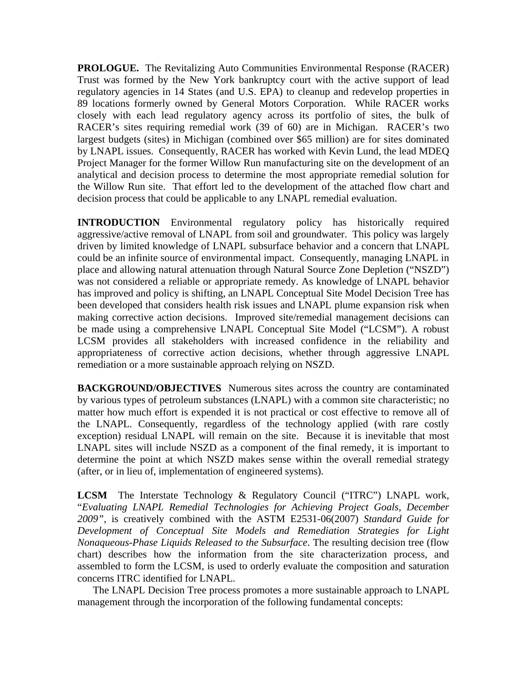**PROLOGUE.** The Revitalizing Auto Communities Environmental Response (RACER) Trust was formed by the New York bankruptcy court with the active support of lead regulatory agencies in 14 States (and U.S. EPA) to cleanup and redevelop properties in 89 locations formerly owned by General Motors Corporation. While RACER works closely with each lead regulatory agency across its portfolio of sites, the bulk of RACER's sites requiring remedial work (39 of 60) are in Michigan. RACER's two largest budgets (sites) in Michigan (combined over \$65 million) are for sites dominated by LNAPL issues. Consequently, RACER has worked with Kevin Lund, the lead MDEQ Project Manager for the former Willow Run manufacturing site on the development of an analytical and decision process to determine the most appropriate remedial solution for the Willow Run site. That effort led to the development of the attached flow chart and decision process that could be applicable to any LNAPL remedial evaluation.

**INTRODUCTION** Environmental regulatory policy has historically required aggressive/active removal of LNAPL from soil and groundwater. This policy was largely driven by limited knowledge of LNAPL subsurface behavior and a concern that LNAPL could be an infinite source of environmental impact. Consequently, managing LNAPL in place and allowing natural attenuation through Natural Source Zone Depletion ("NSZD") was not considered a reliable or appropriate remedy. As knowledge of LNAPL behavior has improved and policy is shifting, an LNAPL Conceptual Site Model Decision Tree has been developed that considers health risk issues and LNAPL plume expansion risk when making corrective action decisions. Improved site/remedial management decisions can be made using a comprehensive LNAPL Conceptual Site Model ("LCSM"). A robust LCSM provides all stakeholders with increased confidence in the reliability and appropriateness of corrective action decisions, whether through aggressive LNAPL remediation or a more sustainable approach relying on NSZD.

**BACKGROUND/OBJECTIVES** Numerous sites across the country are contaminated by various types of petroleum substances (LNAPL) with a common site characteristic; no matter how much effort is expended it is not practical or cost effective to remove all of the LNAPL. Consequently, regardless of the technology applied (with rare costly exception) residual LNAPL will remain on the site. Because it is inevitable that most LNAPL sites will include NSZD as a component of the final remedy, it is important to determine the point at which NSZD makes sense within the overall remedial strategy (after, or in lieu of, implementation of engineered systems).

**LCSM** The Interstate Technology & Regulatory Council ("ITRC") LNAPL work, "*Evaluating LNAPL Remedial Technologies for Achieving Project Goals, December 2009"*, is creatively combined with the ASTM E2531-06(2007) *Standard Guide for Development of Conceptual Site Models and Remediation Strategies for Light Nonaqueous-Phase Liquids Released to the Subsurface*. The resulting decision tree (flow chart) describes how the information from the site characterization process, and assembled to form the LCSM, is used to orderly evaluate the composition and saturation concerns ITRC identified for LNAPL.

The LNAPL Decision Tree process promotes a more sustainable approach to LNAPL management through the incorporation of the following fundamental concepts: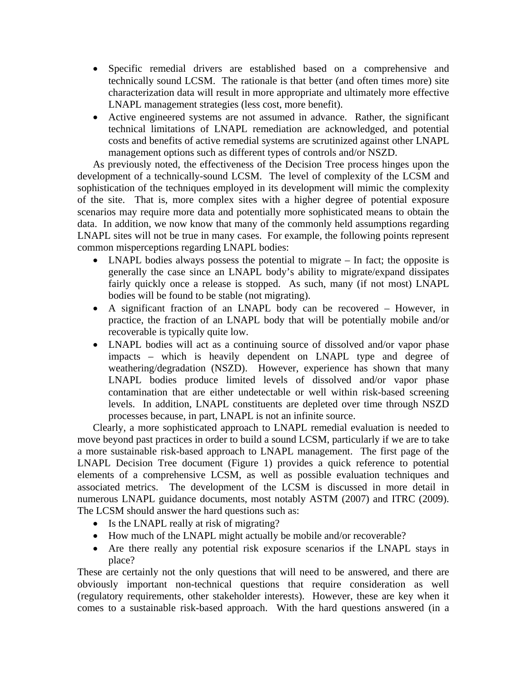- Specific remedial drivers are established based on a comprehensive and technically sound LCSM. The rationale is that better (and often times more) site characterization data will result in more appropriate and ultimately more effective LNAPL management strategies (less cost, more benefit).
- Active engineered systems are not assumed in advance. Rather, the significant technical limitations of LNAPL remediation are acknowledged, and potential costs and benefits of active remedial systems are scrutinized against other LNAPL management options such as different types of controls and/or NSZD.

As previously noted, the effectiveness of the Decision Tree process hinges upon the development of a technically-sound LCSM. The level of complexity of the LCSM and sophistication of the techniques employed in its development will mimic the complexity of the site. That is, more complex sites with a higher degree of potential exposure scenarios may require more data and potentially more sophisticated means to obtain the data. In addition, we now know that many of the commonly held assumptions regarding LNAPL sites will not be true in many cases. For example, the following points represent common misperceptions regarding LNAPL bodies:

- LNAPL bodies always possess the potential to migrate In fact; the opposite is generally the case since an LNAPL body's ability to migrate/expand dissipates fairly quickly once a release is stopped. As such, many (if not most) LNAPL bodies will be found to be stable (not migrating).
- A significant fraction of an LNAPL body can be recovered However, in practice, the fraction of an LNAPL body that will be potentially mobile and/or recoverable is typically quite low.
- LNAPL bodies will act as a continuing source of dissolved and/or vapor phase impacts – which is heavily dependent on LNAPL type and degree of weathering/degradation (NSZD). However, experience has shown that many LNAPL bodies produce limited levels of dissolved and/or vapor phase contamination that are either undetectable or well within risk-based screening levels. In addition, LNAPL constituents are depleted over time through NSZD processes because, in part, LNAPL is not an infinite source.

Clearly, a more sophisticated approach to LNAPL remedial evaluation is needed to move beyond past practices in order to build a sound LCSM, particularly if we are to take a more sustainable risk-based approach to LNAPL management. The first page of the LNAPL Decision Tree document (Figure 1) provides a quick reference to potential elements of a comprehensive LCSM, as well as possible evaluation techniques and associated metrics. The development of the LCSM is discussed in more detail in numerous LNAPL guidance documents, most notably ASTM (2007) and ITRC (2009). The LCSM should answer the hard questions such as:

- Is the LNAPL really at risk of migrating?
- How much of the LNAPL might actually be mobile and/or recoverable?
- Are there really any potential risk exposure scenarios if the LNAPL stays in place?

These are certainly not the only questions that will need to be answered, and there are obviously important non-technical questions that require consideration as well (regulatory requirements, other stakeholder interests). However, these are key when it comes to a sustainable risk-based approach. With the hard questions answered (in a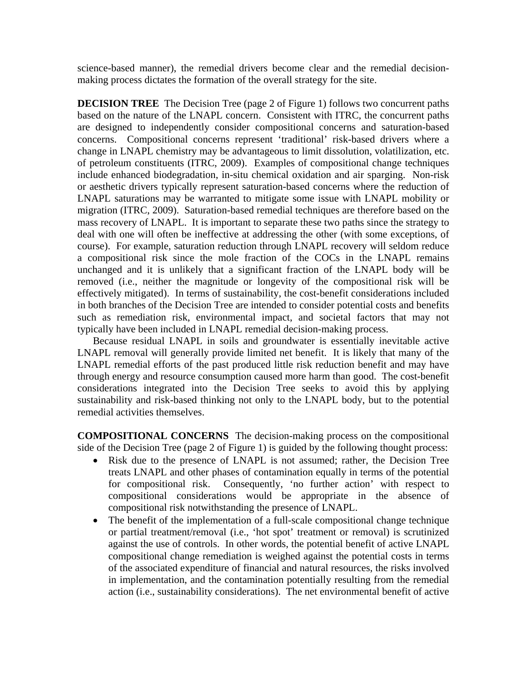science-based manner), the remedial drivers become clear and the remedial decisionmaking process dictates the formation of the overall strategy for the site.

**DECISION TREE** The Decision Tree (page 2 of Figure 1) follows two concurrent paths based on the nature of the LNAPL concern. Consistent with ITRC, the concurrent paths are designed to independently consider compositional concerns and saturation-based concerns. Compositional concerns represent 'traditional' risk-based drivers where a change in LNAPL chemistry may be advantageous to limit dissolution, volatilization, etc. of petroleum constituents (ITRC, 2009). Examples of compositional change techniques include enhanced biodegradation, in-situ chemical oxidation and air sparging. Non-risk or aesthetic drivers typically represent saturation-based concerns where the reduction of LNAPL saturations may be warranted to mitigate some issue with LNAPL mobility or migration (ITRC, 2009). Saturation-based remedial techniques are therefore based on the mass recovery of LNAPL. It is important to separate these two paths since the strategy to deal with one will often be ineffective at addressing the other (with some exceptions, of course). For example, saturation reduction through LNAPL recovery will seldom reduce a compositional risk since the mole fraction of the COCs in the LNAPL remains unchanged and it is unlikely that a significant fraction of the LNAPL body will be removed (i.e., neither the magnitude or longevity of the compositional risk will be effectively mitigated). In terms of sustainability, the cost-benefit considerations included in both branches of the Decision Tree are intended to consider potential costs and benefits such as remediation risk, environmental impact, and societal factors that may not typically have been included in LNAPL remedial decision-making process.

Because residual LNAPL in soils and groundwater is essentially inevitable active LNAPL removal will generally provide limited net benefit. It is likely that many of the LNAPL remedial efforts of the past produced little risk reduction benefit and may have through energy and resource consumption caused more harm than good. The cost-benefit considerations integrated into the Decision Tree seeks to avoid this by applying sustainability and risk-based thinking not only to the LNAPL body, but to the potential remedial activities themselves.

**COMPOSITIONAL CONCERNS** The decision-making process on the compositional side of the Decision Tree (page 2 of Figure 1) is guided by the following thought process:

- Risk due to the presence of LNAPL is not assumed; rather, the Decision Tree treats LNAPL and other phases of contamination equally in terms of the potential for compositional risk. Consequently, 'no further action' with respect to compositional considerations would be appropriate in the absence of compositional risk notwithstanding the presence of LNAPL.
- The benefit of the implementation of a full-scale compositional change technique or partial treatment/removal (i.e., 'hot spot' treatment or removal) is scrutinized against the use of controls. In other words, the potential benefit of active LNAPL compositional change remediation is weighed against the potential costs in terms of the associated expenditure of financial and natural resources, the risks involved in implementation, and the contamination potentially resulting from the remedial action (i.e., sustainability considerations). The net environmental benefit of active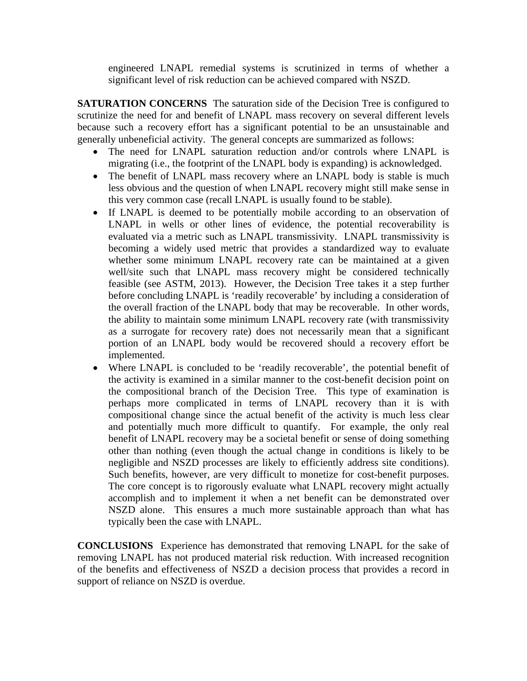engineered LNAPL remedial systems is scrutinized in terms of whether a significant level of risk reduction can be achieved compared with NSZD.

**SATURATION CONCERNS** The saturation side of the Decision Tree is configured to scrutinize the need for and benefit of LNAPL mass recovery on several different levels because such a recovery effort has a significant potential to be an unsustainable and generally unbeneficial activity. The general concepts are summarized as follows:

- The need for LNAPL saturation reduction and/or controls where LNAPL is migrating (i.e., the footprint of the LNAPL body is expanding) is acknowledged.
- The benefit of LNAPL mass recovery where an LNAPL body is stable is much less obvious and the question of when LNAPL recovery might still make sense in this very common case (recall LNAPL is usually found to be stable).
- If LNAPL is deemed to be potentially mobile according to an observation of LNAPL in wells or other lines of evidence, the potential recoverability is evaluated via a metric such as LNAPL transmissivity. LNAPL transmissivity is becoming a widely used metric that provides a standardized way to evaluate whether some minimum LNAPL recovery rate can be maintained at a given well/site such that LNAPL mass recovery might be considered technically feasible (see ASTM, 2013). However, the Decision Tree takes it a step further before concluding LNAPL is 'readily recoverable' by including a consideration of the overall fraction of the LNAPL body that may be recoverable. In other words, the ability to maintain some minimum LNAPL recovery rate (with transmissivity as a surrogate for recovery rate) does not necessarily mean that a significant portion of an LNAPL body would be recovered should a recovery effort be implemented.
- Where LNAPL is concluded to be 'readily recoverable', the potential benefit of the activity is examined in a similar manner to the cost-benefit decision point on the compositional branch of the Decision Tree. This type of examination is perhaps more complicated in terms of LNAPL recovery than it is with compositional change since the actual benefit of the activity is much less clear and potentially much more difficult to quantify. For example, the only real benefit of LNAPL recovery may be a societal benefit or sense of doing something other than nothing (even though the actual change in conditions is likely to be negligible and NSZD processes are likely to efficiently address site conditions). Such benefits, however, are very difficult to monetize for cost-benefit purposes. The core concept is to rigorously evaluate what LNAPL recovery might actually accomplish and to implement it when a net benefit can be demonstrated over NSZD alone. This ensures a much more sustainable approach than what has typically been the case with LNAPL.

**CONCLUSIONS** Experience has demonstrated that removing LNAPL for the sake of removing LNAPL has not produced material risk reduction. With increased recognition of the benefits and effectiveness of NSZD a decision process that provides a record in support of reliance on NSZD is overdue.